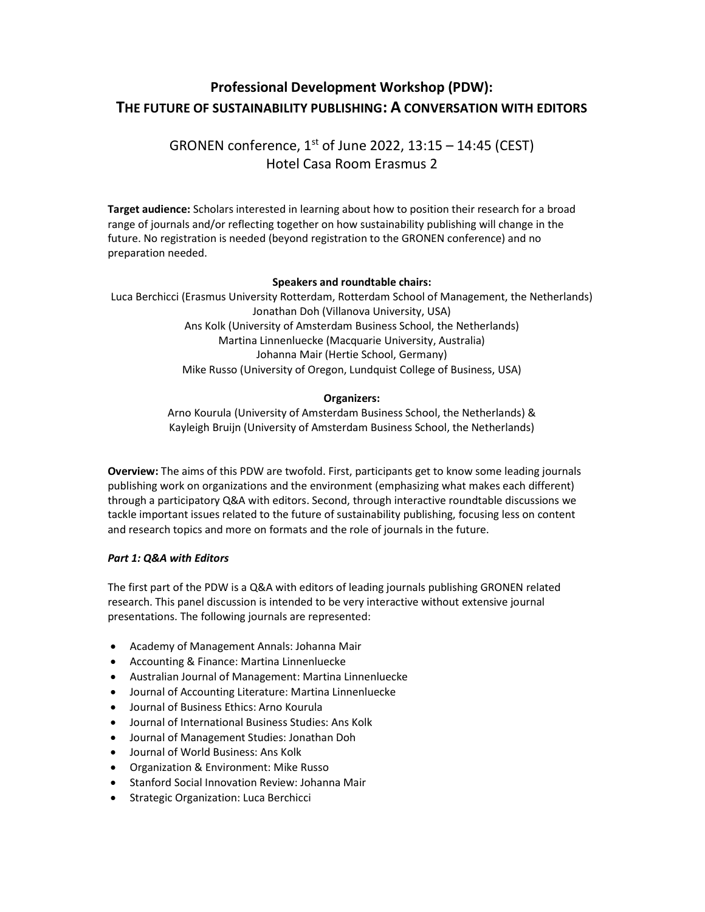# Professional Development Workshop (PDW): THE FUTURE OF SUSTAINABILITY PUBLISHING: A CONVERSATION WITH EDITORS

GRONEN conference,  $1<sup>st</sup>$  of June 2022, 13:15 – 14:45 (CEST) Hotel Casa Room Erasmus 2

Target audience: Scholars interested in learning about how to position their research for a broad range of journals and/or reflecting together on how sustainability publishing will change in the future. No registration is needed (beyond registration to the GRONEN conference) and no preparation needed.

## Speakers and roundtable chairs:

Luca Berchicci (Erasmus University Rotterdam, Rotterdam School of Management, the Netherlands) Jonathan Doh (Villanova University, USA) Ans Kolk (University of Amsterdam Business School, the Netherlands) Martina Linnenluecke (Macquarie University, Australia) Johanna Mair (Hertie School, Germany) Mike Russo (University of Oregon, Lundquist College of Business, USA)

### Organizers:

Arno Kourula (University of Amsterdam Business School, the Netherlands) & Kayleigh Bruijn (University of Amsterdam Business School, the Netherlands)

Overview: The aims of this PDW are twofold. First, participants get to know some leading journals publishing work on organizations and the environment (emphasizing what makes each different) through a participatory Q&A with editors. Second, through interactive roundtable discussions we tackle important issues related to the future of sustainability publishing, focusing less on content and research topics and more on formats and the role of journals in the future.

### Part 1: Q&A with Editors

The first part of the PDW is a Q&A with editors of leading journals publishing GRONEN related research. This panel discussion is intended to be very interactive without extensive journal presentations. The following journals are represented:

- Academy of Management Annals: Johanna Mair
- Accounting & Finance: Martina Linnenluecke
- Australian Journal of Management: Martina Linnenluecke
- Journal of Accounting Literature: Martina Linnenluecke
- Journal of Business Ethics: Arno Kourula
- Journal of International Business Studies: Ans Kolk
- Journal of Management Studies: Jonathan Doh
- Journal of World Business: Ans Kolk
- Organization & Environment: Mike Russo
- Stanford Social Innovation Review: Johanna Mair
- **•** Strategic Organization: Luca Berchicci